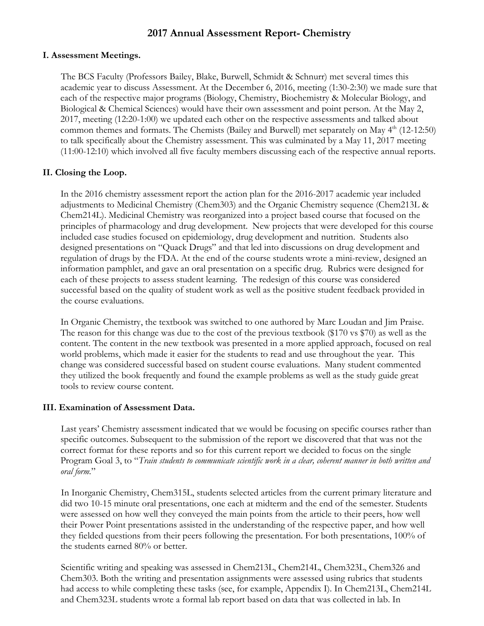# **2017 Annual Assessment Report- Chemistry**

#### **I. Assessment Meetings.**

The BCS Faculty (Professors Bailey, Blake, Burwell, Schmidt & Schnurr) met several times this academic year to discuss Assessment. At the December 6, 2016, meeting (1:30-2:30) we made sure that each of the respective major programs (Biology, Chemistry, Biochemistry & Molecular Biology, and Biological & Chemical Sciences) would have their own assessment and point person. At the May 2, 2017, meeting (12:20-1:00) we updated each other on the respective assessments and talked about common themes and formats. The Chemists (Bailey and Burwell) met separately on May 4<sup>th</sup> (12-12:50) to talk specifically about the Chemistry assessment. This was culminated by a May 11, 2017 meeting (11:00-12:10) which involved all five faculty members discussing each of the respective annual reports.

#### **II. Closing the Loop.**

In the 2016 chemistry assessment report the action plan for the 2016-2017 academic year included adjustments to Medicinal Chemistry (Chem303) and the Organic Chemistry sequence (Chem213L & Chem214L). Medicinal Chemistry was reorganized into a project based course that focused on the principles of pharmacology and drug development. New projects that were developed for this course included case studies focused on epidemiology, drug development and nutrition. Students also designed presentations on "Quack Drugs" and that led into discussions on drug development and regulation of drugs by the FDA. At the end of the course students wrote a mini-review, designed an information pamphlet, and gave an oral presentation on a specific drug. Rubrics were designed for each of these projects to assess student learning. The redesign of this course was considered successful based on the quality of student work as well as the positive student feedback provided in the course evaluations.

In Organic Chemistry, the textbook was switched to one authored by Marc Loudan and Jim Praise. The reason for this change was due to the cost of the previous textbook (\$170 vs \$70) as well as the content. The content in the new textbook was presented in a more applied approach, focused on real world problems, which made it easier for the students to read and use throughout the year. This change was considered successful based on student course evaluations. Many student commented they utilized the book frequently and found the example problems as well as the study guide great tools to review course content.

#### **III. Examination of Assessment Data.**

Last years' Chemistry assessment indicated that we would be focusing on specific courses rather than specific outcomes. Subsequent to the submission of the report we discovered that that was not the correct format for these reports and so for this current report we decided to focus on the single Program Goal 3, to "*Train students to communicate scientific work in a clear, coherent manner in both written and oral form.*"

In Inorganic Chemistry, Chem315L, students selected articles from the current primary literature and did two 10-15 minute oral presentations, one each at midterm and the end of the semester. Students were assessed on how well they conveyed the main points from the article to their peers, how well their Power Point presentations assisted in the understanding of the respective paper, and how well they fielded questions from their peers following the presentation. For both presentations, 100% of the students earned 80% or better.

Scientific writing and speaking was assessed in Chem213L, Chem214L, Chem323L, Chem326 and Chem303. Both the writing and presentation assignments were assessed using rubrics that students had access to while completing these tasks (see, for example, Appendix I). In Chem213L, Chem214L and Chem323L students wrote a formal lab report based on data that was collected in lab. In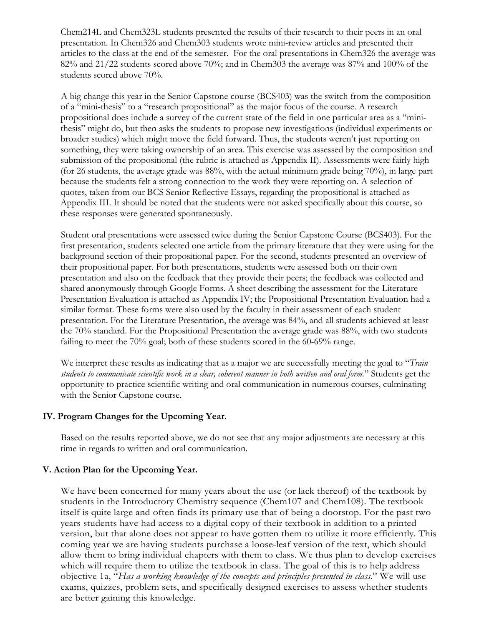Chem214L and Chem323L students presented the results of their research to their peers in an oral presentation. In Chem326 and Chem303 students wrote mini-review articles and presented their articles to the class at the end of the semester. For the oral presentations in Chem326 the average was 82% and 21/22 students scored above 70%; and in Chem303 the average was 87% and 100% of the students scored above 70%.

A big change this year in the Senior Capstone course (BCS403) was the switch from the composition of a "mini-thesis" to a "research propositional" as the major focus of the course. A research propositional does include a survey of the current state of the field in one particular area as a "minithesis" might do, but then asks the students to propose new investigations (individual experiments or broader studies) which might move the field forward. Thus, the students weren't just reporting on something, they were taking ownership of an area. This exercise was assessed by the composition and submission of the propositional (the rubric is attached as Appendix II). Assessments were fairly high (for 26 students, the average grade was 88%, with the actual minimum grade being 70%), in large part because the students felt a strong connection to the work they were reporting on. A selection of quotes, taken from our BCS Senior Reflective Essays, regarding the propositional is attached as Appendix III. It should be noted that the students were not asked specifically about this course, so these responses were generated spontaneously.

Student oral presentations were assessed twice during the Senior Capstone Course (BCS403). For the first presentation, students selected one article from the primary literature that they were using for the background section of their propositional paper. For the second, students presented an overview of their propositional paper. For both presentations, students were assessed both on their own presentation and also on the feedback that they provide their peers; the feedback was collected and shared anonymously through Google Forms. A sheet describing the assessment for the Literature Presentation Evaluation is attached as Appendix IV; the Propositional Presentation Evaluation had a similar format. These forms were also used by the faculty in their assessment of each student presentation. For the Literature Presentation, the average was 84%, and all students achieved at least the 70% standard. For the Propositional Presentation the average grade was 88%, with two students failing to meet the 70% goal; both of these students scored in the 60-69% range.

We interpret these results as indicating that as a major we are successfully meeting the goal to "*Train students to communicate scientific work in a clear, coherent manner in both written and oral form.*" Students get the opportunity to practice scientific writing and oral communication in numerous courses, culminating with the Senior Capstone course.

#### **IV. Program Changes for the Upcoming Year.**

Based on the results reported above, we do not see that any major adjustments are necessary at this time in regards to written and oral communication.

## **V. Action Plan for the Upcoming Year.**

We have been concerned for many years about the use (or lack thereof) of the textbook by students in the Introductory Chemistry sequence (Chem107 and Chem108). The textbook itself is quite large and often finds its primary use that of being a doorstop. For the past two years students have had access to a digital copy of their textbook in addition to a printed version, but that alone does not appear to have gotten them to utilize it more efficiently. This coming year we are having students purchase a loose-leaf version of the text, which should allow them to bring individual chapters with them to class. We thus plan to develop exercises which will require them to utilize the textbook in class. The goal of this is to help address objective 1a, "*Has a working knowledge of the concepts and principles presented in class*." We will use exams, quizzes, problem sets, and specifically designed exercises to assess whether students are better gaining this knowledge.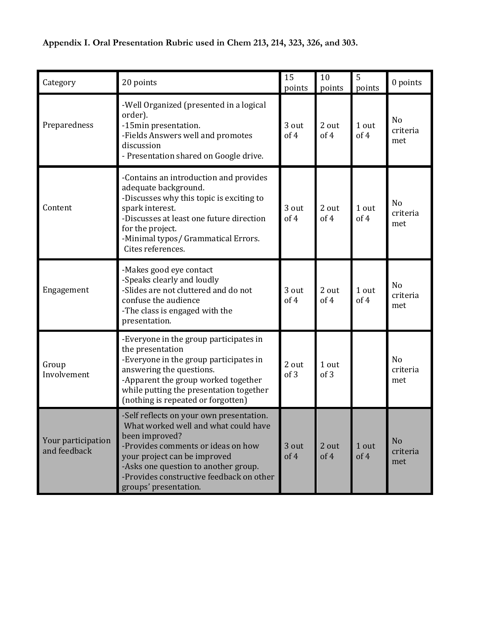| Category                           | 20 points                                                                                                                                                                                                                                                                             | 15<br>points  | 10<br>points  | 5<br>points   | 0 points                          |
|------------------------------------|---------------------------------------------------------------------------------------------------------------------------------------------------------------------------------------------------------------------------------------------------------------------------------------|---------------|---------------|---------------|-----------------------------------|
| Preparedness                       | -Well Organized (presented in a logical<br>order).<br>-15min presentation.<br>-Fields Answers well and promotes<br>discussion<br>- Presentation shared on Google drive.                                                                                                               | 3 out<br>of 4 | 2 out<br>of 4 | 1 out<br>of 4 | No<br>criteria<br>met             |
| Content                            | -Contains an introduction and provides<br>adequate background.<br>-Discusses why this topic is exciting to<br>spark interest.<br>-Discusses at least one future direction<br>for the project.<br>-Minimal typos/ Grammatical Errors.<br>Cites references.                             | 3 out<br>of 4 | 2 out<br>of 4 | 1 out<br>of 4 | No<br>criteria<br>met             |
| Engagement                         | -Makes good eye contact<br>-Speaks clearly and loudly<br>-Slides are not cluttered and do not<br>confuse the audience<br>-The class is engaged with the<br>presentation.                                                                                                              | 3 out<br>of 4 | 2 out<br>of 4 | 1 out<br>of 4 | N <sub>o</sub><br>criteria<br>met |
| Group<br>Involvement               | -Everyone in the group participates in<br>the presentation<br>-Everyone in the group participates in<br>answering the questions.<br>-Apparent the group worked together<br>while putting the presentation together<br>(nothing is repeated or forgotten)                              | 2 out<br>of 3 | 1 out<br>of 3 |               | No<br>criteria<br>met             |
| Your participation<br>and feedback | -Self reflects on your own presentation.<br>What worked well and what could have<br>been improved?<br>-Provides comments or ideas on how<br>your project can be improved<br>-Asks one question to another group.<br>-Provides constructive feedback on other<br>groups' presentation. | 3 out<br>of 4 | 2 out<br>of 4 | 1 out<br>of 4 | No<br>criteria<br>met             |

**Appendix I. Oral Presentation Rubric used in Chem 213, 214, 323, 326, and 303.**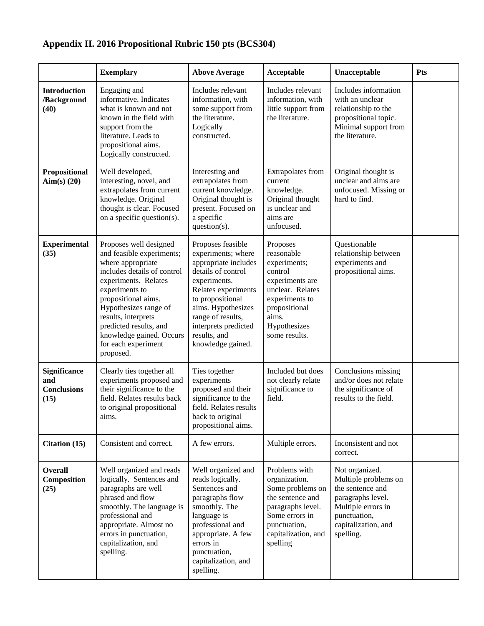# **Appendix II. 2016 Propositional Rubric 150 pts (BCS304)**

|                                                   | <b>Exemplary</b>                                                                                                                                                                                                                                                                                                   | <b>Above Average</b>                                                                                                                                                                                                                                     | Acceptable                                                                                                                                                            | Unacceptable                                                                                                                                              | <b>Pts</b> |
|---------------------------------------------------|--------------------------------------------------------------------------------------------------------------------------------------------------------------------------------------------------------------------------------------------------------------------------------------------------------------------|----------------------------------------------------------------------------------------------------------------------------------------------------------------------------------------------------------------------------------------------------------|-----------------------------------------------------------------------------------------------------------------------------------------------------------------------|-----------------------------------------------------------------------------------------------------------------------------------------------------------|------------|
| <b>Introduction</b><br>/Background<br>(40)        | Engaging and<br>informative. Indicates<br>what is known and not<br>known in the field with<br>support from the<br>literature. Leads to<br>propositional aims.<br>Logically constructed.                                                                                                                            | Includes relevant<br>information, with<br>some support from<br>the literature.<br>Logically<br>constructed.                                                                                                                                              | Includes relevant<br>information, with<br>little support from<br>the literature.                                                                                      | Includes information<br>with an unclear<br>relationship to the<br>propositional topic.<br>Minimal support from<br>the literature.                         |            |
| Propositional<br>Aim $(s)$ (20)                   | Well developed,<br>interesting, novel, and<br>extrapolates from current<br>knowledge. Original<br>thought is clear. Focused<br>on a specific question(s).                                                                                                                                                          | Interesting and<br>extrapolates from<br>current knowledge.<br>Original thought is<br>present. Focused on<br>a specific<br>question(s).                                                                                                                   | Extrapolates from<br>current<br>knowledge.<br>Original thought<br>is unclear and<br>aims are<br>unfocused.                                                            | Original thought is<br>unclear and aims are<br>unfocused. Missing or<br>hard to find.                                                                     |            |
| <b>Experimental</b><br>(35)                       | Proposes well designed<br>and feasible experiments;<br>where appropriate<br>includes details of control<br>experiments. Relates<br>experiments to<br>propositional aims.<br>Hypothesizes range of<br>results, interprets<br>predicted results, and<br>knowledge gained. Occurs<br>for each experiment<br>proposed. | Proposes feasible<br>experiments; where<br>appropriate includes<br>details of control<br>experiments.<br>Relates experiments<br>to propositional<br>aims. Hypothesizes<br>range of results,<br>interprets predicted<br>results, and<br>knowledge gained. | Proposes<br>reasonable<br>experiments;<br>control<br>experiments are<br>unclear. Relates<br>experiments to<br>propositional<br>aims.<br>Hypothesizes<br>some results. | Questionable<br>relationship between<br>experiments and<br>propositional aims.                                                                            |            |
| Significance<br>and<br><b>Conclusions</b><br>(15) | Clearly ties together all<br>experiments proposed and<br>their significance to the<br>field. Relates results back<br>to original propositional<br>aims.                                                                                                                                                            | Ties together<br>experiments<br>proposed and their<br>significance to the<br>field. Relates results<br>back to original<br>propositional aims.                                                                                                           | Included but does<br>not clearly relate<br>significance to<br>field.                                                                                                  | Conclusions missing<br>and/or does not relate<br>the significance of<br>results to the field.                                                             |            |
| Citation (15)                                     | Consistent and correct.                                                                                                                                                                                                                                                                                            | A few errors.                                                                                                                                                                                                                                            | Multiple errors.                                                                                                                                                      | Inconsistent and not<br>correct.                                                                                                                          |            |
| <b>Overall</b><br>Composition<br>(25)             | Well organized and reads<br>logically. Sentences and<br>paragraphs are well<br>phrased and flow<br>smoothly. The language is<br>professional and<br>appropriate. Almost no<br>errors in punctuation,<br>capitalization, and<br>spelling.                                                                           | Well organized and<br>reads logically.<br>Sentences and<br>paragraphs flow<br>smoothly. The<br>language is<br>professional and<br>appropriate. A few<br>errors in<br>punctuation,<br>capitalization, and<br>spelling.                                    | Problems with<br>organization.<br>Some problems on<br>the sentence and<br>paragraphs level.<br>Some errors in<br>punctuation,<br>capitalization, and<br>spelling      | Not organized.<br>Multiple problems on<br>the sentence and<br>paragraphs level.<br>Multiple errors in<br>punctuation,<br>capitalization, and<br>spelling. |            |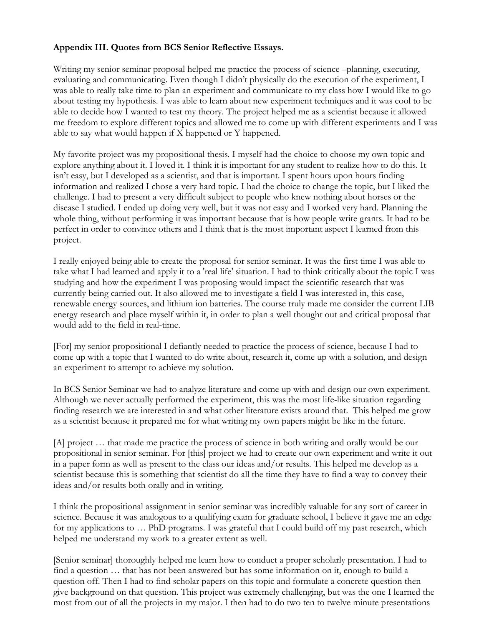### **Appendix III. Quotes from BCS Senior Reflective Essays.**

Writing my senior seminar proposal helped me practice the process of science –planning, executing, evaluating and communicating. Even though I didn't physically do the execution of the experiment, I was able to really take time to plan an experiment and communicate to my class how I would like to go about testing my hypothesis. I was able to learn about new experiment techniques and it was cool to be able to decide how I wanted to test my theory. The project helped me as a scientist because it allowed me freedom to explore different topics and allowed me to come up with different experiments and I was able to say what would happen if X happened or Y happened.

My favorite project was my propositional thesis. I myself had the choice to choose my own topic and explore anything about it. I loved it. I think it is important for any student to realize how to do this. It isn't easy, but I developed as a scientist, and that is important. I spent hours upon hours finding information and realized I chose a very hard topic. I had the choice to change the topic, but I liked the challenge. I had to present a very difficult subject to people who knew nothing about horses or the disease I studied. I ended up doing very well, but it was not easy and I worked very hard. Planning the whole thing, without performing it was important because that is how people write grants. It had to be perfect in order to convince others and I think that is the most important aspect I learned from this project.

I really enjoyed being able to create the proposal for senior seminar. It was the first time I was able to take what I had learned and apply it to a 'real life' situation. I had to think critically about the topic I was studying and how the experiment I was proposing would impact the scientific research that was currently being carried out. It also allowed me to investigate a field I was interested in, this case, renewable energy sources, and lithium ion batteries. The course truly made me consider the current LIB energy research and place myself within it, in order to plan a well thought out and critical proposal that would add to the field in real-time.

[For] my senior propositional I defiantly needed to practice the process of science, because I had to come up with a topic that I wanted to do write about, research it, come up with a solution, and design an experiment to attempt to achieve my solution.

In BCS Senior Seminar we had to analyze literature and come up with and design our own experiment. Although we never actually performed the experiment, this was the most life-like situation regarding finding research we are interested in and what other literature exists around that. This helped me grow as a scientist because it prepared me for what writing my own papers might be like in the future.

[A] project … that made me practice the process of science in both writing and orally would be our propositional in senior seminar. For [this] project we had to create our own experiment and write it out in a paper form as well as present to the class our ideas and/or results. This helped me develop as a scientist because this is something that scientist do all the time they have to find a way to convey their ideas and/or results both orally and in writing.

I think the propositional assignment in senior seminar was incredibly valuable for any sort of career in science. Because it was analogous to a qualifying exam for graduate school, I believe it gave me an edge for my applications to … PhD programs. I was grateful that I could build off my past research, which helped me understand my work to a greater extent as well.

[Senior seminar] thoroughly helped me learn how to conduct a proper scholarly presentation. I had to find a question … that has not been answered but has some information on it, enough to build a question off. Then I had to find scholar papers on this topic and formulate a concrete question then give background on that question. This project was extremely challenging, but was the one I learned the most from out of all the projects in my major. I then had to do two ten to twelve minute presentations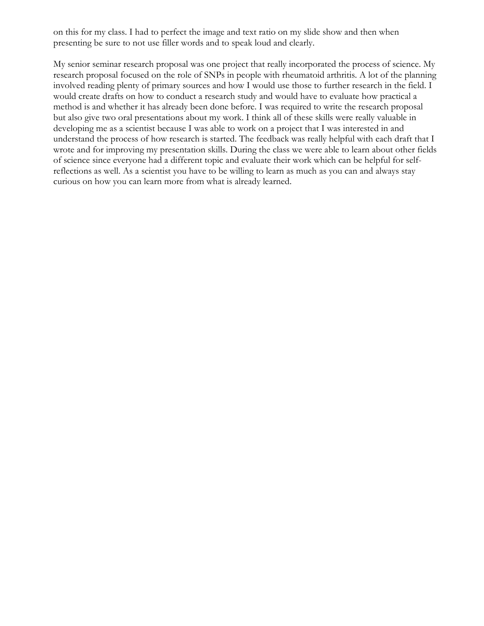on this for my class. I had to perfect the image and text ratio on my slide show and then when presenting be sure to not use filler words and to speak loud and clearly.

My senior seminar research proposal was one project that really incorporated the process of science. My research proposal focused on the role of SNPs in people with rheumatoid arthritis. A lot of the planning involved reading plenty of primary sources and how I would use those to further research in the field. I would create drafts on how to conduct a research study and would have to evaluate how practical a method is and whether it has already been done before. I was required to write the research proposal but also give two oral presentations about my work. I think all of these skills were really valuable in developing me as a scientist because I was able to work on a project that I was interested in and understand the process of how research is started. The feedback was really helpful with each draft that I wrote and for improving my presentation skills. During the class we were able to learn about other fields of science since everyone had a different topic and evaluate their work which can be helpful for selfreflections as well. As a scientist you have to be willing to learn as much as you can and always stay curious on how you can learn more from what is already learned.